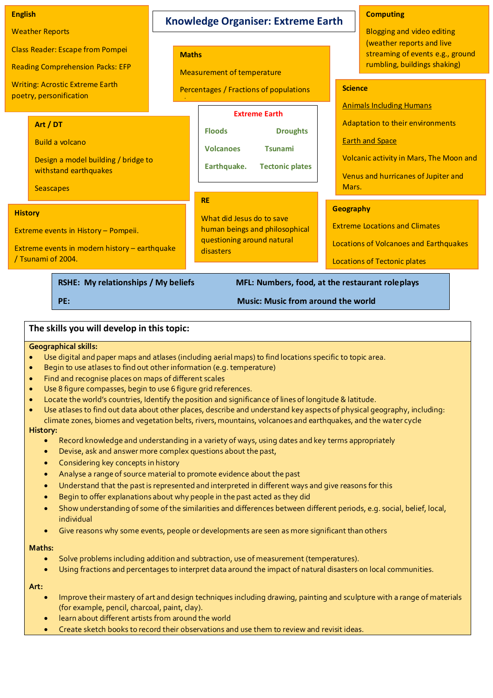#### **Science** Animals Including Humans Adaptation to their environments Earth and Space Volcanic activity in Mars, The Moon and Venus and hurricanes of Jupiter and Mars. **Geography**  Extreme Locations and Climates Locations of Volcanoes and Earthquakes Locations of Tectonic plates **English**  Weather Reports Class Reader: Escape from Pompei Reading Comprehension Packs: EFP Writing: Acrostic Extreme Earth poetry, personification News articles **Maths**  Measurement of temperature Percentages / Fractions of populations etc. **Art / DT** Build a volcano Design a model building / bridge to withstand earthquakes **Seascapes RE**  What did Jesus do to save human beings and philosophical questioning around natural disasters **Extreme Earth Floods Droughts Volcanoes Tsunami Earthquake. Tectonic plates History**  Extreme events in History – Pompeii. Extreme events in modern history – earthquake / Tsunami of 2004. **Knowledge Organiser: Extreme Earth Computing** Blogging and video editing (weather reports and live streaming of events e.g., ground rumbling, buildings shaking)

RSHE: My relationships / My beliefs MFL: Numbers, food, at the restaurant roleplays

# **PE: Music: Music from around the world**

# **The skills you will develop in this topic:**

#### **Geographical skills:**

- Use digital and paper maps and atlases (including aerial maps) to find locations specific to topic area.
- Begin to use atlases to find out other information (e.g. temperature)
- Find and recognise places on maps of different scales
- Use 8 figure compasses, begin to use 6 figure grid references.
- Locate the world's countries, Identify the position and significance of lines of longitude & latitude.
- Use atlases to find out data about other places, describe and understand key aspects of physical geography, including: climate zones, biomes and vegetation belts, rivers, mountains, volcanoes and earthquakes, and the water cycle

#### **History:**

- Record knowledge and understanding in a variety of ways, using dates and key terms appropriately
- Devise, ask and answer more complex questions about the past,
- Considering key concepts in history
- Analyse a range of source material to promote evidence about the past
- Understand that the past is represented and interpreted in different ways and give reasons for this
- Begin to offer explanations about why people in the past acted as they did
- Show understanding of some of the similarities and differences between different periods, e.g. social, belief, local, individual
- Give reasons why some events, people or developments are seen as more significant than others

### **Maths:**

- Solve problems including addition and subtraction, use of measurement (temperatures).
- Using fractions and percentages to interpret data around the impact of natural disasters on local communities.

**Art:** 

- Improve their mastery of art and design techniques including drawing, painting and sculpture with a range of materials (for example, pencil, charcoal, paint, clay).
- learn about different artists from around the world
- Create sketch books to record their observations and use them to review and revisit ideas.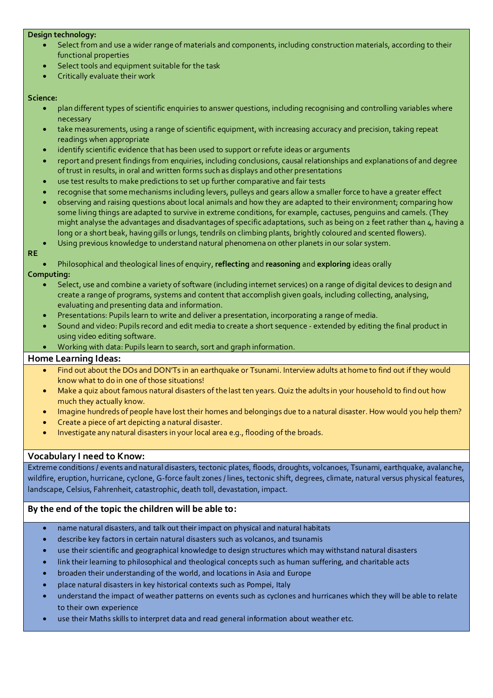## **Design technology:**

- Select from and use a wider range of materials and components, including construction materials, according to their functional properties
- Select tools and equipment suitable for the task
- Critically evaluate their work

#### **Science:**

- plan different types of scientific enquiries to answer questions, including recognising and controlling variables where necessary
- take measurements, using a range of scientific equipment, with increasing accuracy and precision, taking repeat readings when appropriate
- identify scientific evidence that has been used to support or refute ideas or arguments
- report and present findings from enquiries, including conclusions, causal relationships and explanations of and degree of trust in results, in oral and written forms such as displays and other presentations
- use test results to make predictions to set up further comparative and fair tests
- recognise that some mechanisms including levers, pulleys and gears allow a smaller force to have a greater effect
- observing and raising questions about local animals and how they are adapted to their environment; comparing how some living things are adapted to survive in extreme conditions, for example, cactuses, penguins and camels. (They might analyse the advantages and disadvantages of specific adaptations, such as being on 2 feet rather than 4, having a long or a short beak, having gills or lungs, tendrils on climbing plants, brightly coloured and scented flowers).
- Using previous knowledge to understand natural phenomena on other planets in our solar system.

#### **RE**

Philosophical and theological lines of enquiry, **reflecting** and **reasoning** and **exploring** ideas orally

### **Computing:**

- Select, use and combine a variety of software (including internet services) on a range of digital devices to design and create a range of programs, systems and content that accomplish given goals, including collecting, analysing, evaluating and presenting data and information.
- Presentations: Pupils learn to write and deliver a presentation, incorporating a range of media.
- Sound and video: Pupils record and edit media to create a short sequence extended by editing the final product in using video editing software.
- Working with data: Pupils learn to search, sort and graph information.

# **Home Learning Ideas:**

- Find out about the DOs and DON'Ts in an earthquake or Tsunami. Interview adults at home to find out if they would know what to do in one of those situations!
- Make a quiz about famous natural disasters of the last ten years. Quiz the adults in your household to find out how much they actually know.
- Imagine hundreds of people have lost their homes and belongings due to a natural disaster. How would you help them?
- Create a piece of art depicting a natural disaster.
- Investigate any natural disasters in your local area e.g., flooding of the broads.

# **Vocabulary I need to Know:**

Extreme conditions / events and natural disasters, tectonic plates, floods, droughts, volcanoes, Tsunami, earthquake, avalanche, wildfire, eruption, hurricane, cyclone, G-force fault zones / lines, tectonic shift, degrees, climate, natural versus physical features, landscape, Celsius, Fahrenheit, catastrophic, death toll, devastation, impact.

# **By the end of the topic the children will be able to:**

- name natural disasters, and talk out their impact on physical and natural habitats
- describe key factors in certain natural disasters such as volcanos, and tsunamis
- use their scientific and geographical knowledge to design structures which may withstand natural disasters
- link their learning to philosophical and theological concepts such as human suffering, and charitable acts
- broaden their understanding of the world, and locations in Asia and Europe
- place natural disasters in key historical contexts such as Pompei, Italy
- understand the impact of weather patterns on events such as cyclones and hurricanes which they will be able to relate to their own experience
- use their Maths skills to interpret data and read general information about weather etc.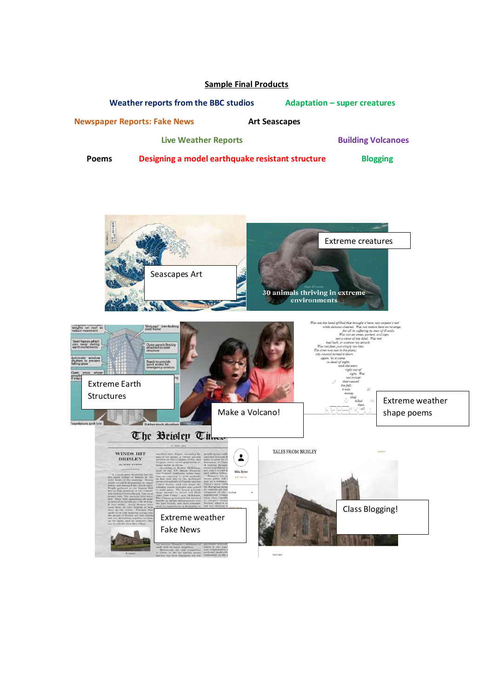# **Sample Final Products**

 **Weather reports from the BBC studios <br><b>Adaptation –** super creatures

**Newspaper Reports: Fake News Measure Art Seascapes** 

**Live Weather Reports <b>Building Volcanoes Building Volcanoes** 

**Poems** Designing a model earthquake resistant structure Blogging